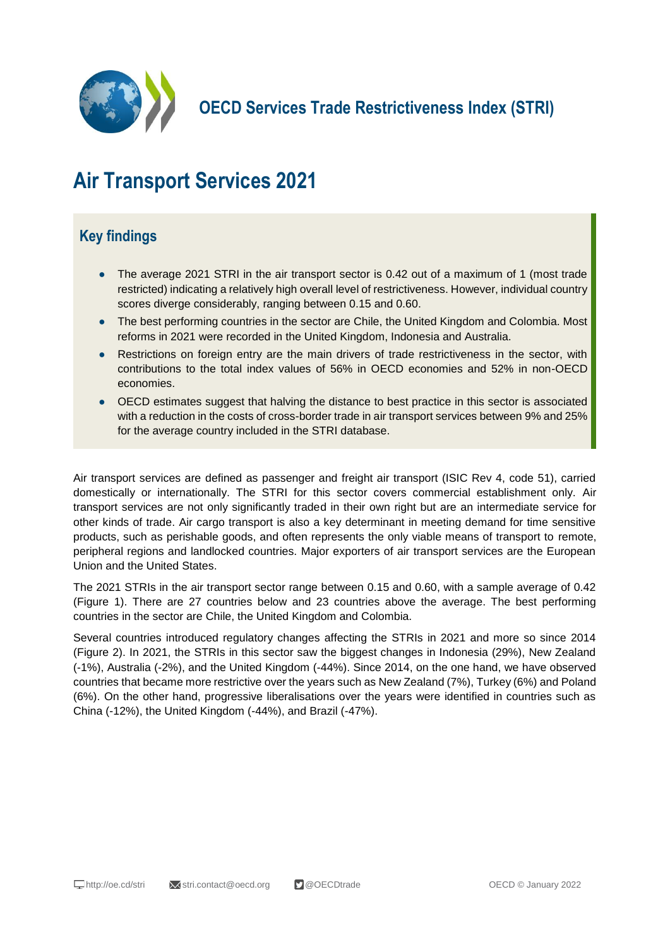

**OECD Services Trade Restrictiveness Index (STRI)**

# **Air Transport Services 2021**

# **Key findings**

- The average 2021 STRI in the air transport sector is 0.42 out of a maximum of 1 (most trade restricted) indicating a relatively high overall level of restrictiveness. However, individual country scores diverge considerably, ranging between 0.15 and 0.60.
- The best performing countries in the sector are Chile, the United Kingdom and Colombia. Most reforms in 2021 were recorded in the United Kingdom, Indonesia and Australia.
- Restrictions on foreign entry are the main drivers of trade restrictiveness in the sector, with contributions to the total index values of 56% in OECD economies and 52% in non-OECD economies.
- OECD estimates suggest that halving the distance to best practice in this sector is associated with a reduction in the costs of cross-border trade in air transport services between 9% and 25% for the average country included in the STRI database.

Air transport services are defined as passenger and freight air transport (ISIC Rev 4, code 51), carried domestically or internationally. The STRI for this sector covers commercial establishment only. Air transport services are not only significantly traded in their own right but are an intermediate service for other kinds of trade. Air cargo transport is also a key determinant in meeting demand for time sensitive products, such as perishable goods, and often represents the only viable means of transport to remote, peripheral regions and landlocked countries. Major exporters of air transport services are the European Union and the United States.

The 2021 STRIs in the air transport sector range between 0.15 and 0.60, with a sample average of 0.42 (Figure 1). There are 27 countries below and 23 countries above the average. The best performing countries in the sector are Chile, the United Kingdom and Colombia.

Several countries introduced regulatory changes affecting the STRIs in 2021 and more so since 2014 (Figure 2). In 2021, the STRIs in this sector saw the biggest changes in Indonesia (29%), New Zealand (-1%), Australia (-2%), and the United Kingdom (-44%). Since 2014, on the one hand, we have observed countries that became more restrictive over the years such as New Zealand (7%), Turkey (6%) and Poland (6%). On the other hand, progressive liberalisations over the years were identified in countries such as China (-12%), the United Kingdom (-44%), and Brazil (-47%).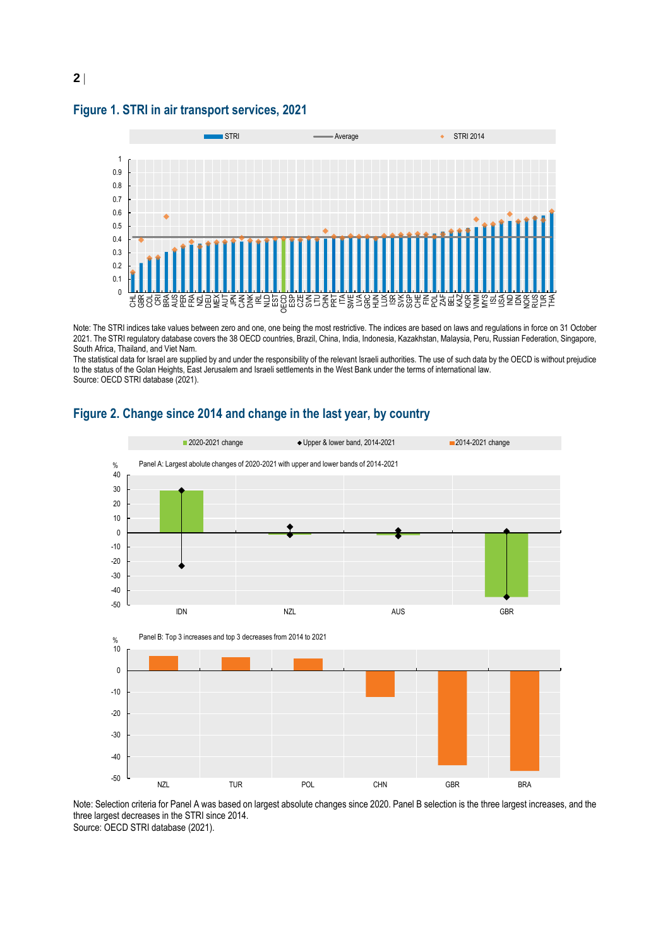### **Figure 1. STRI in air transport services, 2021**



Note: The STRI indices take values between zero and one, one being the most restrictive. The indices are based on laws and regulations in force on 31 October 2021. The STRI regulatory database covers the 38 OECD countries, Brazil, China, India, Indonesia, Kazakhstan, Malaysia, Peru, Russian Federation, Singapore, South Africa, Thailand, and Viet Nam.

The statistical data for Israel are supplied by and under the responsibility of the relevant Israeli authorities. The use of such data by the OECD is without prejudice to the status of the Golan Heights, East Jerusalem and Israeli settlements in the West Bank under the terms of international law. Source: OECD STRI database (2021).



# **Figure 2. Change since 2014 and change in the last year, by country**

Note: Selection criteria for Panel A was based on largest absolute changes since 2020. Panel B selection is the three largest increases, and the three largest decreases in the STRI since 2014.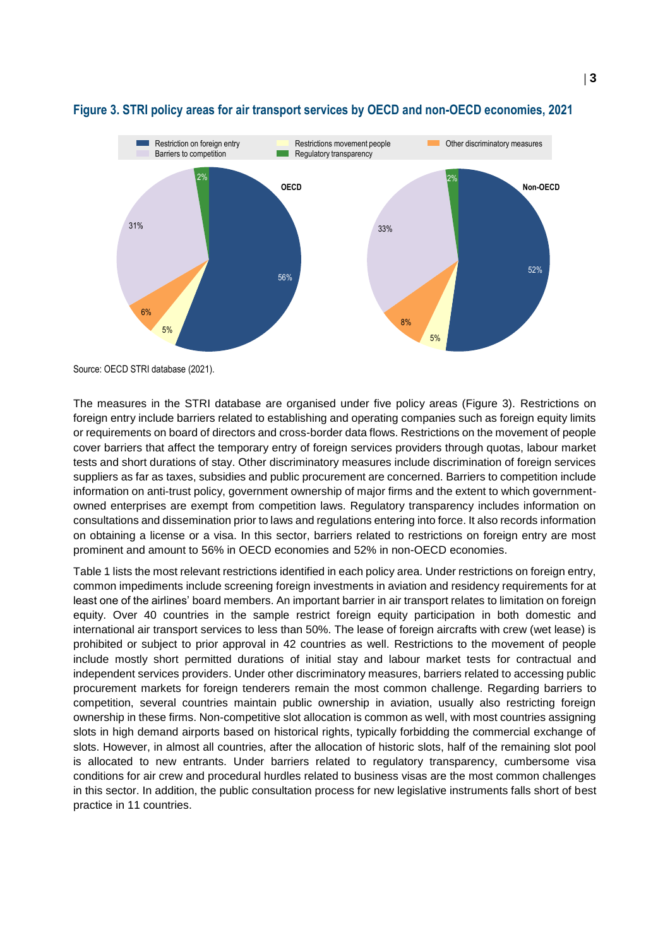

# **Figure 3. STRI policy areas for air transport services by OECD and non-OECD economies, 2021**

Source: OECD STRI database (2021).

The measures in the STRI database are organised under five policy areas (Figure 3). Restrictions on foreign entry include barriers related to establishing and operating companies such as foreign equity limits or requirements on board of directors and cross-border data flows. Restrictions on the movement of people cover barriers that affect the temporary entry of foreign services providers through quotas, labour market tests and short durations of stay. Other discriminatory measures include discrimination of foreign services suppliers as far as taxes, subsidies and public procurement are concerned. Barriers to competition include information on anti-trust policy, government ownership of major firms and the extent to which governmentowned enterprises are exempt from competition laws. Regulatory transparency includes information on consultations and dissemination prior to laws and regulations entering into force. It also records information on obtaining a license or a visa. In this sector, barriers related to restrictions on foreign entry are most prominent and amount to 56% in OECD economies and 52% in non-OECD economies.

Table 1 lists the most relevant restrictions identified in each policy area. Under restrictions on foreign entry, common impediments include screening foreign investments in aviation and residency requirements for at least one of the airlines' board members. An important barrier in air transport relates to limitation on foreign equity. Over 40 countries in the sample restrict foreign equity participation in both domestic and international air transport services to less than 50%. The lease of foreign aircrafts with crew (wet lease) is prohibited or subject to prior approval in 42 countries as well. Restrictions to the movement of people include mostly short permitted durations of initial stay and labour market tests for contractual and independent services providers. Under other discriminatory measures, barriers related to accessing public procurement markets for foreign tenderers remain the most common challenge. Regarding barriers to competition, several countries maintain public ownership in aviation, usually also restricting foreign ownership in these firms. Non-competitive slot allocation is common as well, with most countries assigning slots in high demand airports based on historical rights, typically forbidding the commercial exchange of slots. However, in almost all countries, after the allocation of historic slots, half of the remaining slot pool is allocated to new entrants. Under barriers related to regulatory transparency, cumbersome visa conditions for air crew and procedural hurdles related to business visas are the most common challenges in this sector. In addition, the public consultation process for new legislative instruments falls short of best practice in 11 countries.